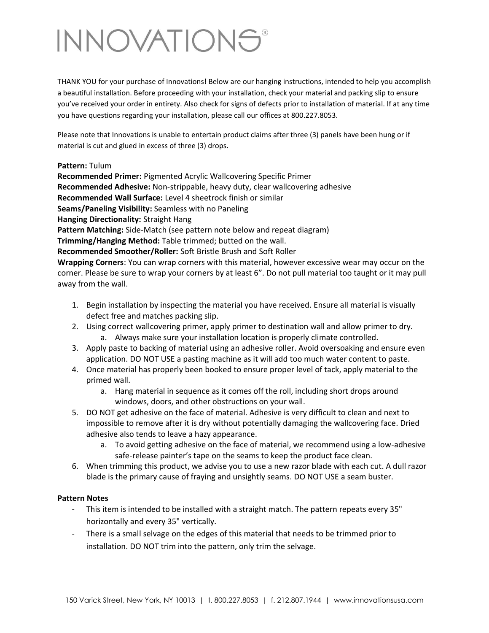# **INNOVATIONS®**

THANK YOU for your purchase of Innovations! Below are our hanging instructions, intended to help you accomplish a beautiful installation. Before proceeding with your installation, check your material and packing slip to ensure you've received your order in entirety. Also check for signs of defects prior to installation of material. If at any time you have questions regarding your installation, please call our offices at 800.227.8053.

Please note that Innovations is unable to entertain product claims after three (3) panels have been hung or if material is cut and glued in excess of three (3) drops.

#### **Pattern:** Tulum

**Recommended Primer:** Pigmented Acrylic Wallcovering Specific Primer **Recommended Adhesive:** Non-strippable, heavy duty, clear wallcovering adhesive **Recommended Wall Surface:** Level 4 sheetrock finish or similar **Seams/Paneling Visibility:** Seamless with no Paneling **Hanging Directionality:** Straight Hang **Pattern Matching:** Side-Match (see pattern note below and repeat diagram) **Trimming/Hanging Method:** Table trimmed; butted on the wall. **Recommended Smoother/Roller:** Soft Bristle Brush and Soft Roller **Wrapping Corners**: You can wrap corners with this material, however excessive wear may occur on the

corner. Please be sure to wrap your corners by at least 6". Do not pull material too taught or it may pull away from the wall.

- 1. Begin installation by inspecting the material you have received. Ensure all material is visually defect free and matches packing slip.
- 2. Using correct wallcovering primer, apply primer to destination wall and allow primer to dry.
	- a. Always make sure your installation location is properly climate controlled.
- 3. Apply paste to backing of material using an adhesive roller. Avoid oversoaking and ensure even application. DO NOT USE a pasting machine as it will add too much water content to paste.
- 4. Once material has properly been booked to ensure proper level of tack, apply material to the primed wall.
	- a. Hang material in sequence as it comes off the roll, including short drops around windows, doors, and other obstructions on your wall.
- 5. DO NOT get adhesive on the face of material. Adhesive is very difficult to clean and next to impossible to remove after it is dry without potentially damaging the wallcovering face. Dried adhesive also tends to leave a hazy appearance.
	- a. To avoid getting adhesive on the face of material, we recommend using a low-adhesive safe-release painter's tape on the seams to keep the product face clean.
- 6. When trimming this product, we advise you to use a new razor blade with each cut. A dull razor blade is the primary cause of fraying and unsightly seams. DO NOT USE a seam buster.

#### **Pattern Notes**

- This item is intended to be installed with a straight match. The pattern repeats every 35" horizontally and every 35" vertically.
- There is a small selvage on the edges of this material that needs to be trimmed prior to installation. DO NOT trim into the pattern, only trim the selvage.